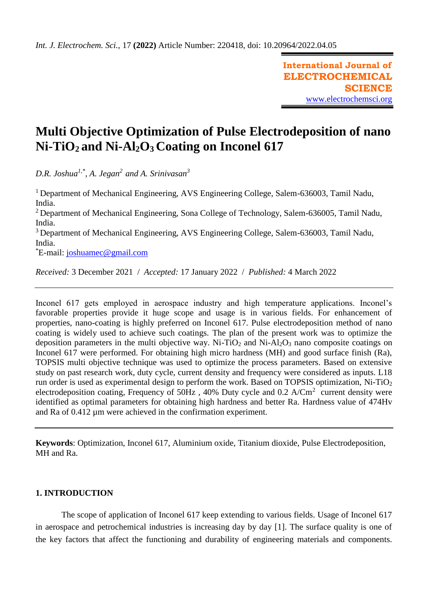**International Journal of ELECTROCHEMICAL SCIENCE** [www.electrochemsci.org](http://www.electrochemsci.org/)

# **Multi Objective Optimization of Pulse Electrodeposition of nano Ni-TiO2 and Ni-Al2O3 Coating on Inconel 617**

*D.R. Joshua1,\*, A. Jegan<sup>2</sup>and A. Srinivasan<sup>3</sup>*

<sup>1</sup> Department of Mechanical Engineering, AVS Engineering College, Salem-636003, Tamil Nadu, India.

<sup>2</sup> Department of Mechanical Engineering, Sona College of Technology, Salem-636005, Tamil Nadu, India.

<sup>3</sup> Department of Mechanical Engineering, AVS Engineering College, Salem-636003, Tamil Nadu, India.

\*E-mail: [joshuamec@gmail.com](mailto:joshuamec@gmail.com)

*Received:* 3 December 2021/ *Accepted:* 17 January 2022 / *Published:* 4 March 2022

Inconel 617 gets employed in aerospace industry and high temperature applications. Inconel's favorable properties provide it huge scope and usage is in various fields. For enhancement of properties, nano-coating is highly preferred on Inconel 617. Pulse electrodeposition method of nano coating is widely used to achieve such coatings. The plan of the present work was to optimize the deposition parameters in the multi objective way. Ni-TiO<sub>2</sub> and Ni-Al<sub>2</sub>O<sub>3</sub> nano composite coatings on Inconel 617 were performed. For obtaining high micro hardness (MH) and good surface finish (Ra), TOPSIS multi objective technique was used to optimize the process parameters. Based on extensive study on past research work, duty cycle, current density and frequency were considered as inputs. L18 run order is used as experimental design to perform the work. Based on TOPSIS optimization, Ni-TiO<sup>2</sup> electrodeposition coating, Frequency of 50Hz, 40% Duty cycle and  $0.2$  A/Cm<sup>2</sup> current density were identified as optimal parameters for obtaining high hardness and better Ra. Hardness value of 474Hv and Ra of 0.412 µm were achieved in the confirmation experiment.

**Keywords**: Optimization, Inconel 617, Aluminium oxide, Titanium dioxide, Pulse Electrodeposition, MH and Ra.

# **1. INTRODUCTION**

The scope of application of Inconel 617 keep extending to various fields. Usage of Inconel 617 in aerospace and petrochemical industries is increasing day by day [1]. The surface quality is one of the key factors that affect the functioning and durability of engineering materials and components.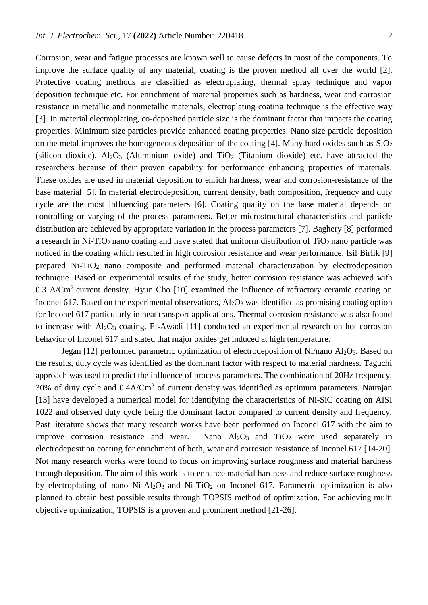Corrosion, wear and fatigue processes are known well to cause defects in most of the components. To improve the surface quality of any material, coating is the proven method all over the world [2]. Protective coating methods are classified as electroplating, thermal spray technique and vapor deposition technique etc. For enrichment of material properties such as hardness, wear and corrosion resistance in metallic and nonmetallic materials, electroplating coating technique is the effective way [3]. In material electroplating, co-deposited particle size is the dominant factor that impacts the coating properties. Minimum size particles provide enhanced coating properties. Nano size particle deposition on the metal improves the homogeneous deposition of the coating [4]. Many hard oxides such as  $SiO<sub>2</sub>$ (silicon dioxide),  $Al_2O_3$  (Aluminium oxide) and  $TiO_2$  (Titanium dioxide) etc. have attracted the researchers because of their proven capability for performance enhancing properties of materials. These oxides are used in material deposition to enrich hardness, wear and corrosion-resistance of the base material [5]. In material electrodeposition, current density, bath composition, frequency and duty cycle are the most influencing parameters [6]. Coating quality on the base material depends on controlling or varying of the process parameters. Better microstructural characteristics and particle distribution are achieved by appropriate variation in the process parameters [7]. Baghery [8] performed a research in Ni-TiO<sub>2</sub> nano coating and have stated that uniform distribution of TiO<sub>2</sub> nano particle was noticed in the coating which resulted in high corrosion resistance and wear performance. Isil Birlik [9] prepared Ni-TiO<sup>2</sup> nano composite and performed material characterization by electrodeposition technique. Based on experimental results of the study, better corrosion resistance was achieved with 0.3 A/Cm<sup>2</sup> current density. Hyun Cho  $[10]$  examined the influence of refractory ceramic coating on Inconel 617. Based on the experimental observations,  $Al_2O_3$  was identified as promising coating option for Inconel 617 particularly in heat transport applications. Thermal corrosion resistance was also found to increase with  $Al_2O_3$  coating. El-Awadi [11] conducted an experimental research on hot corrosion behavior of Inconel 617 and stated that major oxides get induced at high temperature.

Jegan [12] performed parametric optimization of electrodeposition of Ni/nano Al<sub>2</sub>O<sub>3</sub>. Based on the results, duty cycle was identified as the dominant factor with respect to material hardness. Taguchi approach was used to predict the influence of process parameters. The combination of 20Hz frequency, 30% of duty cycle and  $0.4$ A/Cm<sup>2</sup> of current density was identified as optimum parameters. Natrajan [13] have developed a numerical model for identifying the characteristics of Ni-SiC coating on AISI 1022 and observed duty cycle being the dominant factor compared to current density and frequency. Past literature shows that many research works have been performed on Inconel 617 with the aim to improve corrosion resistance and wear. Nano  $Al_2O_3$  and  $TiO_2$  were used separately in electrodeposition coating for enrichment of both, wear and corrosion resistance of Inconel 617 [14-20]. Not many research works were found to focus on improving surface roughness and material hardness through deposition. The aim of this work is to enhance material hardness and reduce surface roughness by electroplating of nano  $Ni-Al<sub>2</sub>O<sub>3</sub>$  and  $Ni-TiO<sub>2</sub>$  on Inconel 617. Parametric optimization is also planned to obtain best possible results through TOPSIS method of optimization. For achieving multi objective optimization, TOPSIS is a proven and prominent method [21-26].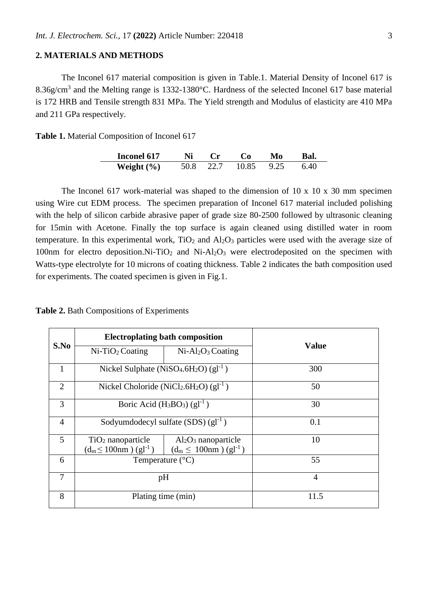# **2. MATERIALS AND METHODS**

The Inconel 617 material composition is given in Table.1. Material Density of Inconel 617 is 8.36g/cm<sup>3</sup> and the Melting range is 1332-1380°C. Hardness of the selected Inconel 617 base material is 172 HRB and Tensile strength 831 MPa. The Yield strength and Modulus of elasticity are 410 MPa and 211 GPa respectively.

**Table 1.** Material Composition of Inconel 617

| Inconel 617    |      | $\mathbf{r}$ | C`o        | Mo | Bal. |
|----------------|------|--------------|------------|----|------|
| Weight $(\% )$ | 50.8 | $\sim$ 22.7  | 10.85 9.25 |    | 6.40 |

The Inconel 617 work-material was shaped to the dimension of 10 x 10 x 30 mm specimen using Wire cut EDM process. The specimen preparation of Inconel 617 material included polishing with the help of silicon carbide abrasive paper of grade size 80-2500 followed by ultrasonic cleaning for 15min with Acetone. Finally the top surface is again cleaned using distilled water in room temperature. In this experimental work,  $TiO<sub>2</sub>$  and  $Al<sub>2</sub>O<sub>3</sub>$  particles were used with the average size of 100nm for electro deposition.Ni-TiO<sub>2</sub> and Ni-Al<sub>2</sub>O<sub>3</sub> were electrodeposited on the specimen with Watts-type electrolyte for 10 microns of coating thickness. Table 2 indicates the bath composition used for experiments. The coated specimen is given in Fig.1.

| Table 2. Bath Compositions of Experiments |  |
|-------------------------------------------|--|
|-------------------------------------------|--|

|                | <b>Electroplating bath composition</b>                                |                                                                  |                |
|----------------|-----------------------------------------------------------------------|------------------------------------------------------------------|----------------|
| S.No           | $Ni-TiO2 Coating$                                                     | $Ni-Al2O3 Coating$                                               | <b>Value</b>   |
| 1              | Nickel Sulphate (NiSO <sub>4</sub> .6H <sub>2</sub> O) $(gl^{-1})$    |                                                                  | 300            |
| $\overline{2}$ | Nickel Choloride (NiCl <sub>2</sub> .6H <sub>2</sub> O) ( $gl^{-1}$ ) |                                                                  | 50             |
| 3              | Boric Acid $(H_3BO_3)$ $(gl^{-1})$                                    |                                                                  | 30             |
| $\overline{4}$ | Sodyumdodecyl sulfate $(SDS)$ $(gl^{-1})$                             |                                                                  | 0.1            |
| 5              | $TiO2$ nanoparticle<br>$(d_m \le 100nm) (gl^{-1})$                    | $Al_2O_3$ nanoparticle<br>$(d_m \leq 100nm)$ (gl <sup>-1</sup> ) | 10             |
| 6              | Temperature $(^{\circ}C)$                                             |                                                                  | 55             |
| 7              | pH                                                                    |                                                                  | $\overline{4}$ |
| 8              | Plating time (min)                                                    |                                                                  | 11.5           |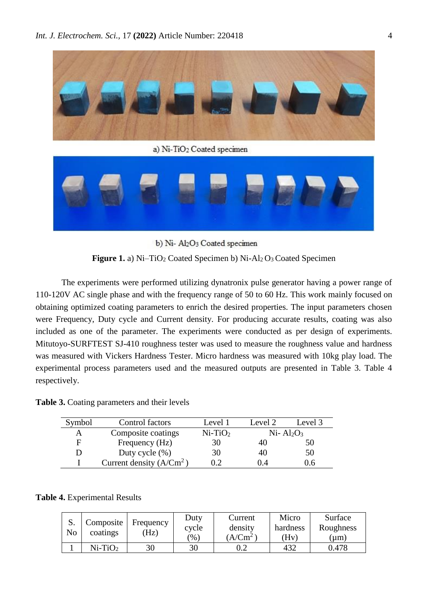

a) Ni-TiO<sub>2</sub> Coated specimen



b) Ni- Al2O3 Coated specimen

**Figure 1.** a) Ni–TiO<sub>2</sub> Coated Specimen b) Ni-Al<sub>2</sub> O<sub>3</sub> Coated Specimen

The experiments were performed utilizing dynatronix pulse generator having a power range of 110-120V AC single phase and with the frequency range of 50 to 60 Hz. This work mainly focused on obtaining optimized coating parameters to enrich the desired properties. The input parameters chosen were Frequency, Duty cycle and Current density. For producing accurate results, coating was also included as one of the parameter. The experiments were conducted as per design of experiments. Mitutoyo-SURFTEST SJ-410 roughness tester was used to measure the roughness value and hardness was measured with Vickers Hardness Tester. Micro hardness was measured with 10kg play load. The experimental process parameters used and the measured outputs are presented in Table 3. Table 4 respectively.

**Table 3.** Coating parameters and their levels

| Symbol | Control factors            | Level 1   | Level 2    | Level 3 |
|--------|----------------------------|-----------|------------|---------|
| А      | Composite coatings         | $Ni-TiO2$ | $Ni-Al2O3$ |         |
| F      | Frequency (Hz)             | 30        | 40         | 50      |
|        | Duty cycle $(\%)$          | 30        | 40         | 50      |
|        | Current density $(A/Cm^2)$ | 0.2       |            |         |

**Table 4.** Experimental Results

| No | Composite<br>coatings | Frequency<br>Hz) | Duty<br>cycle<br>$\gamma_{0}$ | Current<br>density<br>$(A/Cm^2)$ | Micro<br>hardness<br>'Hv) | Surface<br>Roughness<br>um) |
|----|-----------------------|------------------|-------------------------------|----------------------------------|---------------------------|-----------------------------|
|    |                       |                  |                               |                                  |                           |                             |
|    | $Ni-TiO2$             | 30               | 30                            |                                  | 432                       | 0.478                       |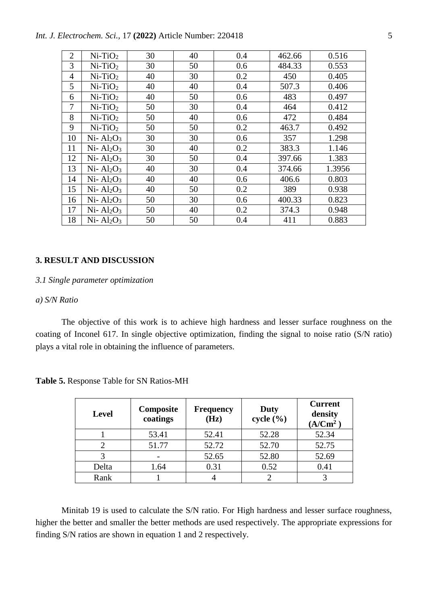*Int. J. Electrochem. Sci.,* 17 **(2022)** Article Number: 220418 5

| $\overline{2}$ | $Ni-TiO2$  | 30 | 40 | 0.4 | 462.66 | 0.516  |
|----------------|------------|----|----|-----|--------|--------|
| 3              | $Ni-TiO2$  | 30 | 50 | 0.6 | 484.33 | 0.553  |
| $\overline{4}$ | $Ni-TiO2$  | 40 | 30 | 0.2 | 450    | 0.405  |
| 5              | $Ni-TiO2$  | 40 | 40 | 0.4 | 507.3  | 0.406  |
| 6              | $Ni-TiO2$  | 40 | 50 | 0.6 | 483    | 0.497  |
| 7              | $Ni-TiO2$  | 50 | 30 | 0.4 | 464    | 0.412  |
| 8              | $Ni-TiO2$  | 50 | 40 | 0.6 | 472    | 0.484  |
| 9              | $Ni-TiO2$  | 50 | 50 | 0.2 | 463.7  | 0.492  |
| 10             | $Ni-Al2O3$ | 30 | 30 | 0.6 | 357    | 1.298  |
| 11             | $Ni-Al2O3$ | 30 | 40 | 0.2 | 383.3  | 1.146  |
| 12             | $Ni-Al2O3$ | 30 | 50 | 0.4 | 397.66 | 1.383  |
| 13             | $Ni-Al2O3$ | 40 | 30 | 0.4 | 374.66 | 1.3956 |
| 14             | $Ni-Al2O3$ | 40 | 40 | 0.6 | 406.6  | 0.803  |
| 15             | $Ni-Al2O3$ | 40 | 50 | 0.2 | 389    | 0.938  |
| 16             | $Ni-Al2O3$ | 50 | 30 | 0.6 | 400.33 | 0.823  |
| 17             | $Ni-Al2O3$ | 50 | 40 | 0.2 | 374.3  | 0.948  |
| 18             | $Ni-Al2O3$ | 50 | 50 | 0.4 | 411    | 0.883  |
|                |            |    |    |     |        |        |

## **3. RESULT AND DISCUSSION**

#### *3.1 Single parameter optimization*

# *a) S/N Ratio*

The objective of this work is to achieve high hardness and lesser surface roughness on the coating of Inconel 617. In single objective optimization, finding the signal to noise ratio (S/N ratio) plays a vital role in obtaining the influence of parameters.

| <b>Level</b> | Composite<br>coatings | <b>Frequency</b><br>(Hz) | Duty<br>cycle $(\% )$ | <b>Current</b><br>density<br>(A/Cm <sup>2</sup> ) |
|--------------|-----------------------|--------------------------|-----------------------|---------------------------------------------------|
|              | 53.41                 | 52.41                    | 52.28                 | 52.34                                             |
|              | 51.77                 | 52.72                    | 52.70                 | 52.75                                             |
|              |                       | 52.65                    | 52.80                 | 52.69                                             |
| Delta        | 1.64                  | 0.31                     | 0.52                  | 0.41                                              |
| Rank         |                       |                          |                       |                                                   |

**Table 5.** Response Table for SN Ratios-MH

Minitab 19 is used to calculate the S/N ratio. For High hardness and lesser surface roughness, higher the better and smaller the better methods are used respectively. The appropriate expressions for finding S/N ratios are shown in equation 1 and 2 respectively.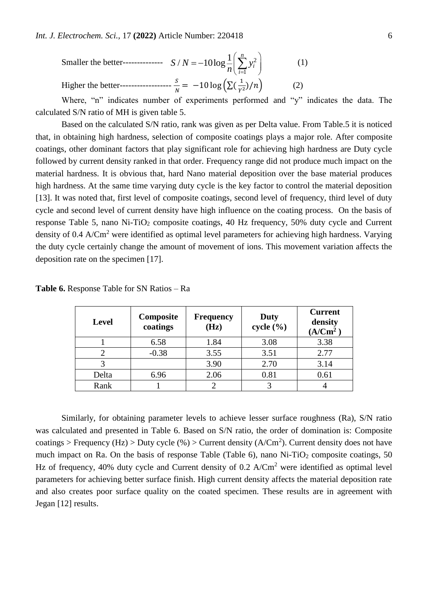Smaller the better<sup>2</sup> -10log 
$$
\frac{1}{n} \left( \sum_{i=1}^{n} y_i^2 \right)
$$
 (1)  
Higher the better<sup>2</sup> -20log  $\left( \sum_{i=1}^{n} \left( \frac{1}{Y^2} \right) / n \right)$  (2)

Where, "n" indicates number of experiments performed and "y" indicates the data. The calculated S/N ratio of MH is given table 5.

Based on the calculated S/N ratio, rank was given as per Delta value. From Table.5 it is noticed that, in obtaining high hardness, selection of composite coatings plays a major role. After composite coatings, other dominant factors that play significant role for achieving high hardness are Duty cycle followed by current density ranked in that order. Frequency range did not produce much impact on the material hardness. It is obvious that, hard Nano material deposition over the base material produces high hardness. At the same time varying duty cycle is the key factor to control the material deposition [13]. It was noted that, first level of composite coatings, second level of frequency, third level of duty cycle and second level of current density have high influence on the coating process. On the basis of response Table 5, nano Ni-TiO<sub>2</sub> composite coatings, 40 Hz frequency, 50% duty cycle and Current density of 0.4 A/Cm<sup>2</sup> were identified as optimal level parameters for achieving high hardness. Varying the duty cycle certainly change the amount of movement of ions. This movement variation affects the deposition rate on the specimen [17].

| <b>Level</b> | Composite<br>coatings | <b>Frequency</b><br>(Hz) | Duty<br>cycle $(\% )$ | <b>Current</b><br>density<br>(A/Cm <sup>2</sup> ) |
|--------------|-----------------------|--------------------------|-----------------------|---------------------------------------------------|
|              | 6.58                  | 1.84                     | 3.08                  | 3.38                                              |
|              | $-0.38$               | 3.55                     | 3.51                  | 2.77                                              |
|              |                       | 3.90                     | 2.70                  | 3.14                                              |
| Delta        | 6.96                  | 2.06                     | 0.81                  | 0.61                                              |
| Rank         |                       |                          |                       |                                                   |

**Table 6.** Response Table for SN Ratios – Ra

Similarly, for obtaining parameter levels to achieve lesser surface roughness (Ra), S/N ratio was calculated and presented in Table 6. Based on S/N ratio, the order of domination is: Composite coatings > Frequency (Hz) > Duty cycle  $(\%)$  > Current density (A/Cm<sup>2</sup>). Current density does not have much impact on Ra. On the basis of response Table (Table 6), nano  $Ni-TiO<sub>2</sub>$  composite coatings, 50 Hz of frequency, 40% duty cycle and Current density of 0.2 A/Cm<sup>2</sup> were identified as optimal level parameters for achieving better surface finish. High current density affects the material deposition rate and also creates poor surface quality on the coated specimen. These results are in agreement with Jegan [12] results.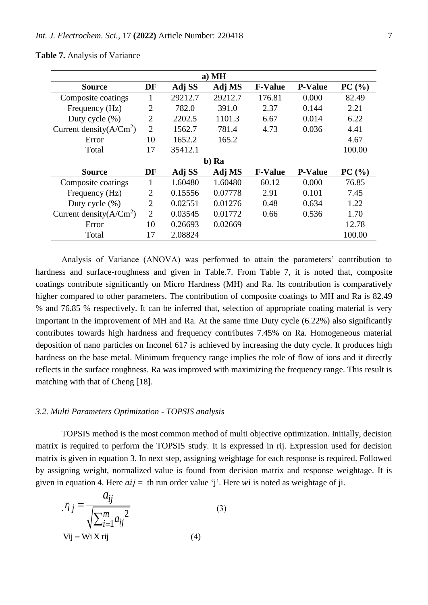| $a)$ MH                    |                |         |         |                |                |        |  |  |  |  |
|----------------------------|----------------|---------|---------|----------------|----------------|--------|--|--|--|--|
| <b>Source</b>              | DF             | Adj SS  | Adj MS  | <b>F-Value</b> | <b>P-Value</b> | PC(%)  |  |  |  |  |
| Composite coatings         |                | 29212.7 | 29212.7 | 176.81         | 0.000          | 82.49  |  |  |  |  |
| Frequency (Hz)             | $\overline{2}$ | 782.0   | 391.0   | 2.37           | 0.144          | 2.21   |  |  |  |  |
| Duty cycle $(\%)$          | $\overline{2}$ | 2202.5  | 1101.3  | 6.67           | 0.014          | 6.22   |  |  |  |  |
| Current density $(A/Cm^2)$ | $\overline{2}$ | 1562.7  | 781.4   | 4.73           | 0.036          | 4.41   |  |  |  |  |
| Error                      | 10             | 1652.2  | 165.2   |                |                | 4.67   |  |  |  |  |
| Total                      | 17             | 35412.1 |         |                |                | 100.00 |  |  |  |  |
|                            |                |         | b) Ra   |                |                |        |  |  |  |  |
| <b>Source</b>              | DF             | Adj SS  | Adj MS  | <b>F-Value</b> | <b>P-Value</b> | PC(%)  |  |  |  |  |
| Composite coatings         | 1              | 1.60480 | 1.60480 | 60.12          | 0.000          | 76.85  |  |  |  |  |
| Frequency (Hz)             | $\overline{2}$ | 0.15556 | 0.07778 | 2.91           | 0.101          | 7.45   |  |  |  |  |
| Duty cycle (%)             | $\overline{2}$ | 0.02551 | 0.01276 | 0.48           | 0.634          | 1.22   |  |  |  |  |
| Current density $(A/Cm^2)$ | $\overline{2}$ | 0.03545 | 0.01772 | 0.66           | 0.536          | 1.70   |  |  |  |  |
| Error                      | 10             | 0.26693 | 0.02669 |                |                | 12.78  |  |  |  |  |
| Total                      | 17             | 2.08824 |         |                |                | 100.00 |  |  |  |  |

#### **Table 7.** Analysis of Variance

Analysis of Variance (ANOVA) was performed to attain the parameters' contribution to hardness and surface-roughness and given in Table.7. From Table 7, it is noted that, composite coatings contribute significantly on Micro Hardness (MH) and Ra. Its contribution is comparatively higher compared to other parameters. The contribution of composite coatings to MH and Ra is 82.49 % and 76.85 % respectively. It can be inferred that, selection of appropriate coating material is very important in the improvement of MH and Ra. At the same time Duty cycle (6.22%) also significantly contributes towards high hardness and frequency contributes 7.45% on Ra. Homogeneous material deposition of nano particles on Inconel 617 is achieved by increasing the duty cycle. It produces high hardness on the base metal. Minimum frequency range implies the role of flow of ions and it directly reflects in the surface roughness. Ra was improved with maximizing the frequency range. This result is matching with that of Cheng [18].

#### *3.2. Multi Parameters Optimization - TOPSIS analysis*

TOPSIS method is the most common method of multi objective optimization. Initially, decision matrix is required to perform the TOPSIS study. It is expressed in rij. Expression used for decision matrix is given in equation 3. In next step, assigning weightage for each response is required. Followed by assigning weight, normalized value is found from decision matrix and response weightage. It is given in equation 4. Here  $aij =$  th run order value 'j'. Here wi is noted as weightage of ji.

$$
r_{ij} = \frac{a_{ij}}{\sqrt{\sum_{i=1}^{m} a_{ij}^{2}}}
$$
\n
$$
V_{ij} = Wi X r_{ij}
$$
\n(3)\n(4)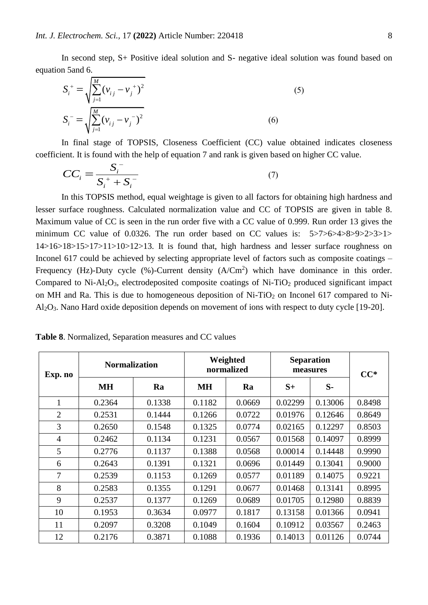In second step, S+ Positive ideal solution and S- negative ideal solution was found based on equation 5and 6.

$$
S_i^+ = \sqrt{\sum_{j=1}^M (\nu_{ij} - \nu_j^+)^2}
$$
  
\n
$$
S_i^- = \sqrt{\sum_{j=1}^M (\nu_{ij} - \nu_j^-)^2}
$$
\n(6)

In final stage of TOPSIS, Closeness Coefficient (CC) value obtained indicates closeness coefficient. It is found with the help of equation 7 and rank is given based on higher CC value.

$$
CC_i = \frac{S_i^-}{S_i^+ + S_i^-}
$$
 (7)

In this TOPSIS method, equal weightage is given to all factors for obtaining high hardness and lesser surface roughness. Calculated normalization value and CC of TOPSIS are given in table 8. Maximum value of CC is seen in the run order five with a CC value of 0.999. Run order 13 gives the minimum CC value of 0.0326. The run order based on CC values is: 5>7>6>4>8>9>2>3>1>  $14>16>18>15>17>11>10>12>13$ . It is found that, high hardness and lesser surface roughness on Inconel 617 could be achieved by selecting appropriate level of factors such as composite coatings – Frequency (Hz)-Duty cycle  $(\%)$ -Current density  $(A/Cm^2)$  which have dominance in this order. Compared to Ni-Al<sub>2</sub>O<sub>3</sub>, electrodeposited composite coatings of Ni-TiO<sub>2</sub> produced significant impact on MH and Ra. This is due to homogeneous deposition of  $Ni-TiO<sub>2</sub>$  on Inconel 617 compared to Ni-Al2O3. Nano Hard oxide deposition depends on movement of ions with respect to duty cycle [19-20].

| Exp. no        | <b>Normalization</b> |        | Weighted<br><b>Separation</b><br>normalized<br>measures |        |         | $CC^*$  |        |
|----------------|----------------------|--------|---------------------------------------------------------|--------|---------|---------|--------|
|                | MН                   | Ra     | <b>MH</b>                                               | Ra     | $S+$    | $S-$    |        |
| 1              | 0.2364               | 0.1338 | 0.1182                                                  | 0.0669 | 0.02299 | 0.13006 | 0.8498 |
| $\overline{2}$ | 0.2531               | 0.1444 | 0.1266                                                  | 0.0722 | 0.01976 | 0.12646 | 0.8649 |
| 3              | 0.2650               | 0.1548 | 0.1325                                                  | 0.0774 | 0.02165 | 0.12297 | 0.8503 |
| $\overline{4}$ | 0.2462               | 0.1134 | 0.1231                                                  | 0.0567 | 0.01568 | 0.14097 | 0.8999 |
| 5              | 0.2776               | 0.1137 | 0.1388                                                  | 0.0568 | 0.00014 | 0.14448 | 0.9990 |
| 6              | 0.2643               | 0.1391 | 0.1321                                                  | 0.0696 | 0.01449 | 0.13041 | 0.9000 |
| $\overline{7}$ | 0.2539               | 0.1153 | 0.1269                                                  | 0.0577 | 0.01189 | 0.14075 | 0.9221 |
| 8              | 0.2583               | 0.1355 | 0.1291                                                  | 0.0677 | 0.01468 | 0.13141 | 0.8995 |
| 9              | 0.2537               | 0.1377 | 0.1269                                                  | 0.0689 | 0.01705 | 0.12980 | 0.8839 |
| 10             | 0.1953               | 0.3634 | 0.0977                                                  | 0.1817 | 0.13158 | 0.01366 | 0.0941 |
| 11             | 0.2097               | 0.3208 | 0.1049                                                  | 0.1604 | 0.10912 | 0.03567 | 0.2463 |
| 12             | 0.2176               | 0.3871 | 0.1088                                                  | 0.1936 | 0.14013 | 0.01126 | 0.0744 |

**Table 8**. Normalized, Separation measures and CC values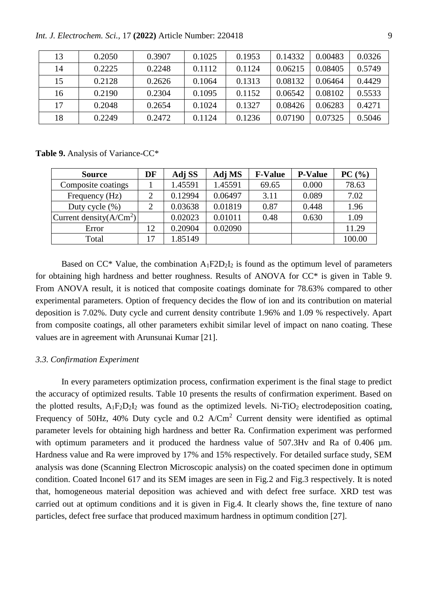*Int. J. Electrochem. Sci.,* 17 **(2022)** Article Number: 220418 9

| 13 | 0.2050 | 0.3907 | 0.1025 | 0.1953 | 0.14332 | 0.00483 | 0.0326 |
|----|--------|--------|--------|--------|---------|---------|--------|
| 14 | 0.2225 | 0.2248 | 0.1112 | 0.1124 | 0.06215 | 0.08405 | 0.5749 |
| 15 | 0.2128 | 0.2626 | 0.1064 | 0.1313 | 0.08132 | 0.06464 | 0.4429 |
| 16 | 0.2190 | 0.2304 | 0.1095 | 0.1152 | 0.06542 | 0.08102 | 0.5533 |
| 17 | 0.2048 | 0.2654 | 0.1024 | 0.1327 | 0.08426 | 0.06283 | 0.4271 |
| 18 | 0.2249 | 0.2472 | 0.1124 | 0.1236 | 0.07190 | 0.07325 | 0.5046 |

**Table 9.** Analysis of Variance-CC\*

| <b>Source</b>              | DF | Adj SS  | Adj MS  | <b>F-Value</b> | <b>P-Value</b> | PC(%)  |
|----------------------------|----|---------|---------|----------------|----------------|--------|
| Composite coatings         |    | 1.45591 | 1.45591 | 69.65          | 0.000          | 78.63  |
| Frequency (Hz)             |    | 0.12994 | 0.06497 | 3.11           | 0.089          | 7.02   |
| Duty cycle $(\%)$          |    | 0.03638 | 0.01819 | 0.87           | 0.448          | 1.96   |
| Current density $(A/Cm^2)$ |    | 0.02023 | 0.01011 | 0.48           | 0.630          | 1.09   |
| Error                      | 12 | 0.20904 | 0.02090 |                |                | 11.29  |
| Total                      |    | 1.85149 |         |                |                | 100.00 |

Based on  $CC^*$  Value, the combination  $A_1F2D_2I_2$  is found as the optimum level of parameters for obtaining high hardness and better roughness. Results of ANOVA for CC\* is given in Table 9. From ANOVA result, it is noticed that composite coatings dominate for 78.63% compared to other experimental parameters. Option of frequency decides the flow of ion and its contribution on material deposition is 7.02%. Duty cycle and current density contribute 1.96% and 1.09 % respectively. Apart from composite coatings, all other parameters exhibit similar level of impact on nano coating. These values are in agreement with Arunsunai Kumar [21].

## *3.3. Confirmation Experiment*

In every parameters optimization process, confirmation experiment is the final stage to predict the accuracy of optimized results. Table 10 presents the results of confirmation experiment. Based on the plotted results,  $A_1F_2D_2I_2$  was found as the optimized levels. Ni-TiO<sub>2</sub> electrodeposition coating, Frequency of 50Hz, 40% Duty cycle and  $0.2$  A/Cm<sup>2</sup> Current density were identified as optimal parameter levels for obtaining high hardness and better Ra. Confirmation experiment was performed with optimum parameters and it produced the hardness value of 507.3Hv and Ra of 0.406  $\mu$ m. Hardness value and Ra were improved by 17% and 15% respectively. For detailed surface study, SEM analysis was done (Scanning Electron Microscopic analysis) on the coated specimen done in optimum condition. Coated Inconel 617 and its SEM images are seen in Fig.2 and Fig.3 respectively. It is noted that, homogeneous material deposition was achieved and with defect free surface. XRD test was carried out at optimum conditions and it is given in Fig.4. It clearly shows the, fine texture of nano particles, defect free surface that produced maximum hardness in optimum condition [27].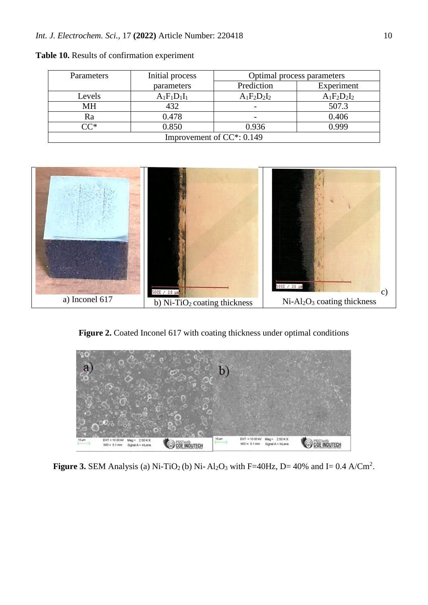| Parameters                    | Initial process | Optimal process parameters |                |
|-------------------------------|-----------------|----------------------------|----------------|
|                               | parameters      | Prediction                 | Experiment     |
| Levels                        | $A_1F_1D_1I_1$  | $A_1F_2D_2I_2$             | $A_1F_2D_2I_2$ |
| <b>MH</b>                     | 432             |                            | 507.3          |
| Ra                            | 0.478           |                            | 0.406          |
| $\cap \cap^*$                 | 0.850           | 0.936                      | 0.999          |
| Improvement of $CC^*$ : 0.149 |                 |                            |                |

**Table 10.** Results of confirmation experiment



Figure 2. Coated Inconel 617 with coating thickness under optimal conditions



**Figure 3.** SEM Analysis (a) Ni-TiO<sub>2</sub> (b) Ni-Al<sub>2</sub>O<sub>3</sub> with F=40Hz, D= 40% and I= 0.4 A/Cm<sup>2</sup>.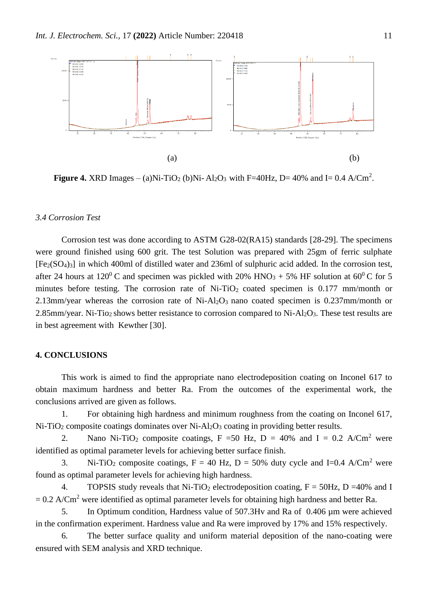

**Figure 4.** XRD Images – (a)Ni-TiO<sub>2</sub> (b)Ni-Al<sub>2</sub>O<sub>3</sub> with F=40Hz, D= 40% and I= 0.4 A/Cm<sup>2</sup>.

## *3.4 Corrosion Test*

Corrosion test was done according to ASTM G28-02(RA15) standards [28-29]. The specimens were ground finished using 600 grit. The test Solution was prepared with 25gm of ferric sulphate [Fe2(SO4)3] in which 400ml of distilled water and 236ml of sulphuric acid added. In the corrosion test, after 24 hours at 120<sup>0</sup> C and specimen was pickled with 20% HNO<sub>3</sub> + 5% HF solution at 60<sup>0</sup> C for 5 minutes before testing. The corrosion rate of Ni-TiO<sub>2</sub> coated specimen is  $0.177$  mm/month or 2.13mm/year whereas the corrosion rate of Ni-Al2O3 nano coated specimen is 0.237mm/month or 2.85mm/year. Ni-Tio<sub>2</sub> shows better resistance to corrosion compared to Ni-Al<sub>2</sub>O<sub>3</sub>. These test results are in best agreement with Kewther [30].

## **4. CONCLUSIONS**

This work is aimed to find the appropriate nano electrodeposition coating on Inconel 617 to obtain maximum hardness and better Ra. From the outcomes of the experimental work, the conclusions arrived are given as follows.

1. For obtaining high hardness and minimum roughness from the coating on Inconel 617,  $Ni-TiO<sub>2</sub>$  composite coatings dominates over  $Ni-Al<sub>2</sub>O<sub>3</sub>$  coating in providing better results.

2. Nano Ni-TiO<sub>2</sub> composite coatings, F =50 Hz, D = 40% and I = 0.2 A/Cm<sup>2</sup> were identified as optimal parameter levels for achieving better surface finish.

3. Ni-TiO<sub>2</sub> composite coatings,  $F = 40$  Hz,  $D = 50\%$  duty cycle and I=0.4 A/Cm<sup>2</sup> were found as optimal parameter levels for achieving high hardness.

4. TOPSIS study reveals that Ni-TiO<sub>2</sub> electrodeposition coating,  $F = 50$ Hz, D = 40% and I  $= 0.2$  A/Cm<sup>2</sup> were identified as optimal parameter levels for obtaining high hardness and better Ra.

5. In Optimum condition, Hardness value of 507.3Hv and Ra of 0.406 µm were achieved in the confirmation experiment. Hardness value and Ra were improved by 17% and 15% respectively.

6. The better surface quality and uniform material deposition of the nano-coating were ensured with SEM analysis and XRD technique.